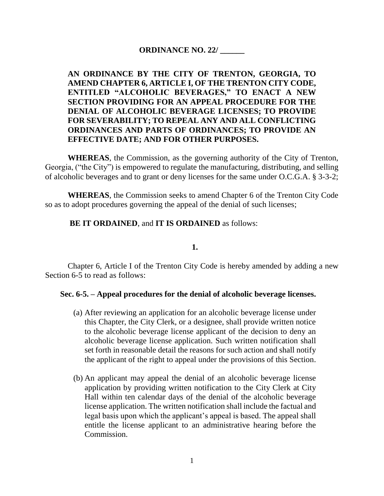# **ORDINANCE NO. 22/ \_\_\_\_\_\_**

# **AN ORDINANCE BY THE CITY OF TRENTON, GEORGIA, TO AMEND CHAPTER 6, ARTICLE I, OF THE TRENTON CITY CODE, ENTITLED "ALCOHOLIC BEVERAGES," TO ENACT A NEW SECTION PROVIDING FOR AN APPEAL PROCEDURE FOR THE DENIAL OF ALCOHOLIC BEVERAGE LICENSES; TO PROVIDE FOR SEVERABILITY; TO REPEAL ANY AND ALL CONFLICTING ORDINANCES AND PARTS OF ORDINANCES; TO PROVIDE AN EFFECTIVE DATE; AND FOR OTHER PURPOSES.**

**WHEREAS**, the Commission, as the governing authority of the City of Trenton, Georgia, ("the City") is empowered to regulate the manufacturing, distributing, and selling of alcoholic beverages and to grant or deny licenses for the same under O.C.G.A. § 3-3-2;

**WHEREAS**, the Commission seeks to amend Chapter 6 of the Trenton City Code so as to adopt procedures governing the appeal of the denial of such licenses;

## **BE IT ORDAINED**, and **IT IS ORDAINED** as follows:

#### **1.**

Chapter 6, Article I of the Trenton City Code is hereby amended by adding a new Section 6-5 to read as follows:

#### **Sec. 6-5. – Appeal procedures for the denial of alcoholic beverage licenses.**

- (a) After reviewing an application for an alcoholic beverage license under this Chapter, the City Clerk, or a designee, shall provide written notice to the alcoholic beverage license applicant of the decision to deny an alcoholic beverage license application. Such written notification shall set forth in reasonable detail the reasons for such action and shall notify the applicant of the right to appeal under the provisions of this Section.
- (b) An applicant may appeal the denial of an alcoholic beverage license application by providing written notification to the City Clerk at City Hall within ten calendar days of the denial of the alcoholic beverage license application. The written notification shall include the factual and legal basis upon which the applicant's appeal is based. The appeal shall entitle the license applicant to an administrative hearing before the Commission.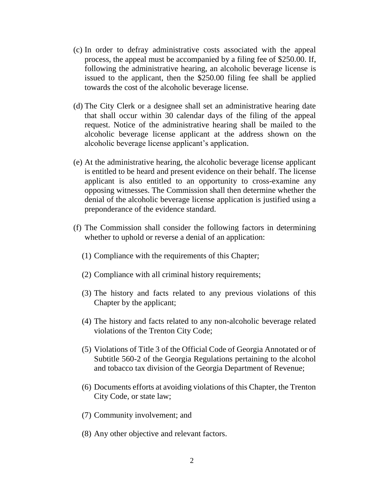- (c) In order to defray administrative costs associated with the appeal process, the appeal must be accompanied by a filing fee of \$250.00. If, following the administrative hearing, an alcoholic beverage license is issued to the applicant, then the \$250.00 filing fee shall be applied towards the cost of the alcoholic beverage license.
- (d) The City Clerk or a designee shall set an administrative hearing date that shall occur within 30 calendar days of the filing of the appeal request. Notice of the administrative hearing shall be mailed to the alcoholic beverage license applicant at the address shown on the alcoholic beverage license applicant's application.
- (e) At the administrative hearing, the alcoholic beverage license applicant is entitled to be heard and present evidence on their behalf. The license applicant is also entitled to an opportunity to cross-examine any opposing witnesses. The Commission shall then determine whether the denial of the alcoholic beverage license application is justified using a preponderance of the evidence standard.
- (f) The Commission shall consider the following factors in determining whether to uphold or reverse a denial of an application:
	- (1) Compliance with the requirements of this Chapter;
	- (2) Compliance with all criminal history requirements;
	- (3) The history and facts related to any previous violations of this Chapter by the applicant;
	- (4) The history and facts related to any non-alcoholic beverage related violations of the Trenton City Code;
	- (5) Violations of Title 3 of the Official Code of Georgia Annotated or of Subtitle 560-2 of the Georgia Regulations pertaining to the alcohol and tobacco tax division of the Georgia Department of Revenue;
	- (6) Documents efforts at avoiding violations of this Chapter, the Trenton City Code, or state law;
	- (7) Community involvement; and
	- (8) Any other objective and relevant factors.